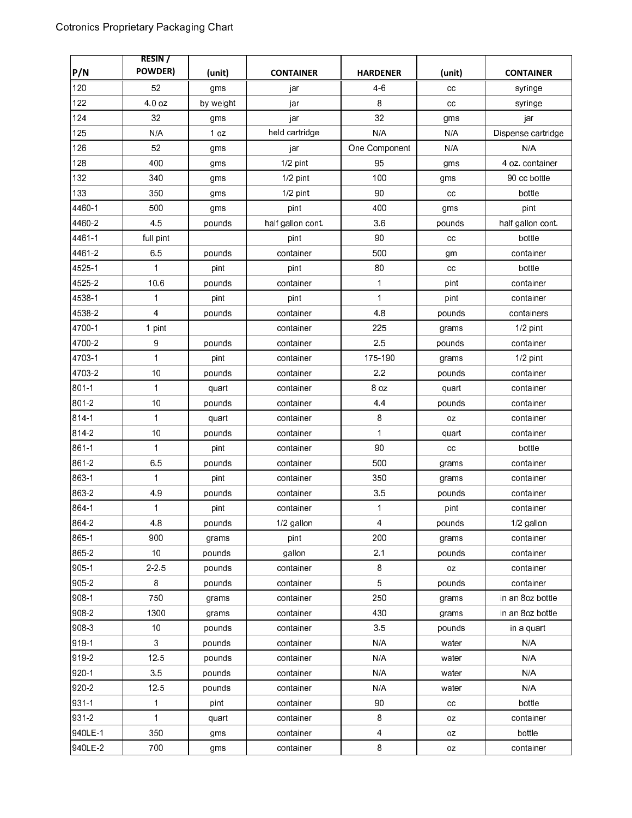|           | <b>RESIN</b> /   |           |                   |                 |        |                    |
|-----------|------------------|-----------|-------------------|-----------------|--------|--------------------|
| P/N       | <b>POWDER)</b>   | (unit)    | <b>CONTAINER</b>  | <b>HARDENER</b> | (unit) | <b>CONTAINER</b>   |
| 120       | 52               | gms       | jar               | $4-6$           | cc     | syringe            |
| 122       | 4.0 oz           | by weight | jar               | 8               | cc     | syringe            |
| 124       | 32               | gms       | jar               | 32              | gms    | jar                |
| 125       | N/A              | 1 oz      | held cartridge    | N/A             | N/A    | Dispense cartridge |
| 126       | 52               | gms       | jar               | One Component   | N/A    | N/A                |
| 128       | 400              | gms       | 1/2 pint          | 95              | gms    | 4 oz. container    |
| 132       | 340              | gms       | 1/2 pint          | 100             | gms    | 90 cc bottle       |
| 133       | 350              | gms       | 1/2 pint          | 90              | cc     | bottle             |
| 4460-1    | 500              | gms       | pint              | 400             | gms    | pint               |
| 4460-2    | 45               | pounds    | half gallon cont. | 36              | pounds | half gallon cont.  |
| 4461-1    | full pint        |           | pint              | 90              | cc     | bottle             |
| 4461-2    | 65               | pounds    | container         | 500             | gm     | container          |
| 4525-1    | $\mathbf 1$      | pint      | pint              | 80              | cc     | bottle             |
| 4525-2    | 10.6             | pounds    | container         | $\mathbf 1$     | pint   | container          |
| 4538-1    | 1                | pint      | pint              | $\mathbf{1}$    | pint   | container          |
| 4538-2    | $\overline{4}$   | pounds    | container         | 48              | pounds | containers         |
| 4700-1    | 1 pint           |           | container         | 225             | grams  | 1/2 pint           |
| 4700-2    | $\boldsymbol{9}$ | pounds    | container         | 25              | pounds | container          |
| 4703-1    | 1                | pint      | container         | 175-190         | grams  | $1/2$ pint         |
| 47032     | 10               | pounds    | container         | 2.2             | pounds | container          |
| 801-1     | $\mathbf{1}$     | quart     | container         | 8 oz            | quart  | container          |
| 801-2     | 10               | pounds    | container         | 4.4             | pounds | container          |
| 814-1     | $\mathbf{1}$     | quart     | container         | 8               | oz     | container          |
| 814-2     | 10               | pounds    | container         | $\mathbf{1}$    | quart  | container          |
| 861-1     | 1                | pint      | container         | 90              | cc     | bottle             |
| 861-2     | 65               | pounds    | container         | 500             | grams  | container          |
| 863-1     | $\mathbf 1$      | pint      | container         | 350             | grams  | container          |
| 863-2     | 49               | pounds    | container         | 35              | pounds | container          |
| 864-1     | $\mathbf 1$      | pint      | container         | 1               | pint   | container          |
| 864-2     | 48               | pounds    | 1/2 gallon        | 4               | pounds | 1/2 gallon         |
| 865-1     | 900              | grams     | pint              | 200             | grams  | container          |
| 865 2     | 10               | pounds    | gallon            | 2.1             | pounds | container          |
| $905 - 1$ | 2.2.5            | pounds    | container         | 8               | 0Z     | container          |
| 905-2     | 8                | pounds    | container         | $\overline{5}$  | pounds | container          |
| 908-1     | 750              | grams     | container         | 250             | grams  | in an 8oz bottle   |
| 908-2     | 1300             | grams     | container         | 430             | grams  | in an 8oz bottle   |
| 908-3     | 10               | pounds    | container         | 3 <sub>5</sub>  | pounds | in a quart         |
| 919-1     | 3                | pounds    | container         | N/A             | water  | N/A                |
| 919-2     | 12.5             | pounds    | container         | N/A             | water  | N/A                |
| 920-1     | 35               | pounds    | container         | N/A             | water  | N/A                |
| 920-2     | 125              | pounds    | container         | N/A             | water  | N/A                |
| 931-1     | $\mathbf 1$      | pint      | container         | 90              | cc     | bottle             |
| 931-2     | $\mathbf{1}$     | quart     | container         | 8               | 0Z     | container          |
| 940LE-1   | 350              | gms       | container         | 4               | oz     | bottle             |
| 940LE-2   | 700              | gms       | container         | 8               | oz     | container          |